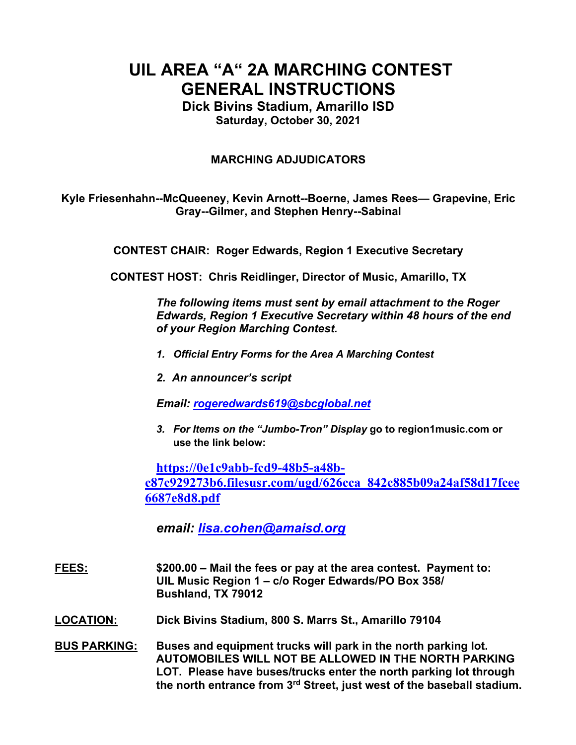# **UIL AREA "A" 2A MARCHING CONTEST GENERAL INSTRUCTIONS**

**Dick Bivins Stadium, Amarillo ISD Saturday, October 30, 2021**

## **MARCHING ADJUDICATORS**

**Kyle Friesenhahn--McQueeney, Kevin Arnott--Boerne, James Rees— Grapevine, Eric Gray--Gilmer, and Stephen Henry--Sabinal**

**CONTEST CHAIR: Roger Edwards, Region 1 Executive Secretary**

**CONTEST HOST: Chris Reidlinger, Director of Music, Amarillo, TX**

*The following items must sent by email attachment to the Roger Edwards, Region 1 Executive Secretary within 48 hours of the end of your Region Marching Contest.* 

- *1. Official Entry Forms for the Area A Marching Contest*
- *2. An announcer's script*

*Email: rogeredwards619@sbcglobal.net*

*3. For Items on the "Jumbo-Tron" Display* **go to region1music.com or use the link below:**

**https://0e1c9abb-fcd9-48b5-a48bc87c929273b6.filesusr.com/ugd/626cca\_842c885b09a24af58d17fcee 6687e8d8.pdf**

*email: lisa.cohen@amaisd.org*

- **FEES: \$200.00 – Mail the fees or pay at the area contest. Payment to: UIL Music Region 1 – c/o Roger Edwards/PO Box 358/ Bushland, TX 79012**
- **LOCATION: Dick Bivins Stadium, 800 S. Marrs St., Amarillo 79104**
- **BUS PARKING: Buses and equipment trucks will park in the north parking lot. AUTOMOBILES WILL NOT BE ALLOWED IN THE NORTH PARKING LOT. Please have buses/trucks enter the north parking lot through the north entrance from 3rd Street, just west of the baseball stadium.**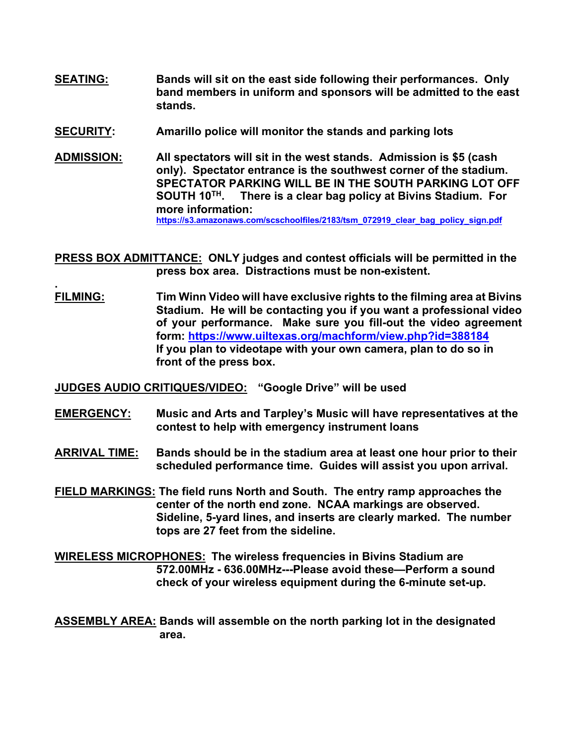- **SEATING: Bands will sit on the east side following their performances. Only band members in uniform and sponsors will be admitted to the east stands.**
- **SECURITY: Amarillo police will monitor the stands and parking lots**
- **ADMISSION: All spectators will sit in the west stands. Admission is \$5 (cash only). Spectator entrance is the southwest corner of the stadium. SPECTATOR PARKING WILL BE IN THE SOUTH PARKING LOT OFF SOUTH 10TH. There is a clear bag policy at Bivins Stadium. For more information: https://s3.amazonaws.com/scschoolfiles/2183/tsm\_072919\_clear\_bag\_policy\_sign.pdf**
- **PRESS BOX ADMITTANCE: ONLY judges and contest officials will be permitted in the press box area. Distractions must be non-existent.**
- **. FILMING: Tim Winn Video will have exclusive rights to the filming area at Bivins Stadium. He will be contacting you if you want a professional video of your performance. Make sure you fill-out the video agreement form: https://www.uiltexas.org/machform/view.php?id=388184 If you plan to videotape with your own camera, plan to do so in front of the press box.**

**JUDGES AUDIO CRITIQUES/VIDEO: "Google Drive" will be used**

- **EMERGENCY: Music and Arts and Tarpley's Music will have representatives at the contest to help with emergency instrument loans**
- **ARRIVAL TIME: Bands should be in the stadium area at least one hour prior to their scheduled performance time. Guides will assist you upon arrival.**
- **FIELD MARKINGS: The field runs North and South. The entry ramp approaches the center of the north end zone. NCAA markings are observed. Sideline, 5-yard lines, and inserts are clearly marked. The number tops are 27 feet from the sideline.**
- **WIRELESS MICROPHONES: The wireless frequencies in Bivins Stadium are 572.00MHz - 636.00MHz---Please avoid these—Perform a sound check of your wireless equipment during the 6-minute set-up.**

**ASSEMBLY AREA: Bands will assemble on the north parking lot in the designated area.**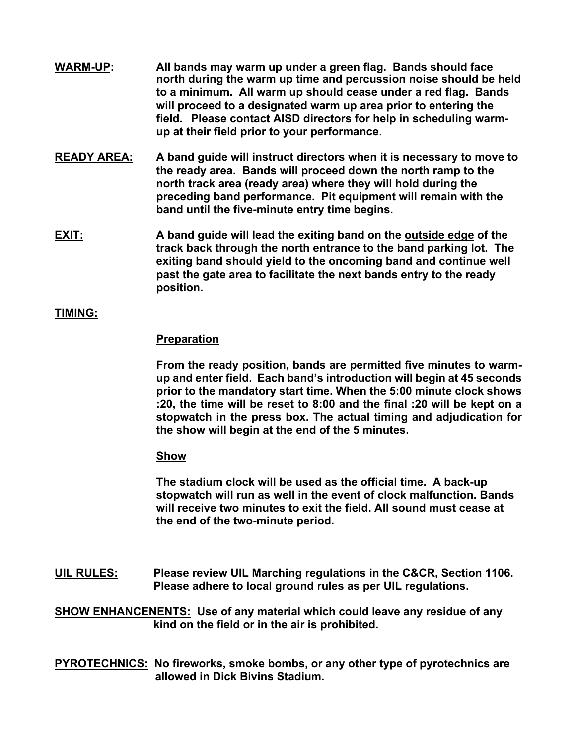- **WARM-UP: All bands may warm up under a green flag. Bands should face north during the warm up time and percussion noise should be held to a minimum. All warm up should cease under a red flag. Bands will proceed to a designated warm up area prior to entering the field. Please contact AISD directors for help in scheduling warmup at their field prior to your performance**.
- **READY AREA: A band guide will instruct directors when it is necessary to move to the ready area. Bands will proceed down the north ramp to the north track area (ready area) where they will hold during the preceding band performance. Pit equipment will remain with the band until the five-minute entry time begins.**
- **EXIT: A band guide will lead the exiting band on the outside edge of the track back through the north entrance to the band parking lot. The exiting band should yield to the oncoming band and continue well past the gate area to facilitate the next bands entry to the ready position.**

## **TIMING:**

#### **Preparation**

**From the ready position, bands are permitted five minutes to warmup and enter field. Each band's introduction will begin at 45 seconds prior to the mandatory start time. When the 5:00 minute clock shows :20, the time will be reset to 8:00 and the final :20 will be kept on a stopwatch in the press box. The actual timing and adjudication for the show will begin at the end of the 5 minutes.** 

#### **Show**

**The stadium clock will be used as the official time. A back-up stopwatch will run as well in the event of clock malfunction. Bands will receive two minutes to exit the field. All sound must cease at the end of the two-minute period.**

**UIL RULES: Please review UIL Marching regulations in the C&CR, Section 1106. Please adhere to local ground rules as per UIL regulations.**

**SHOW ENHANCENENTS: Use of any material which could leave any residue of any kind on the field or in the air is prohibited.** 

**PYROTECHNICS: No fireworks, smoke bombs, or any other type of pyrotechnics are allowed in Dick Bivins Stadium.**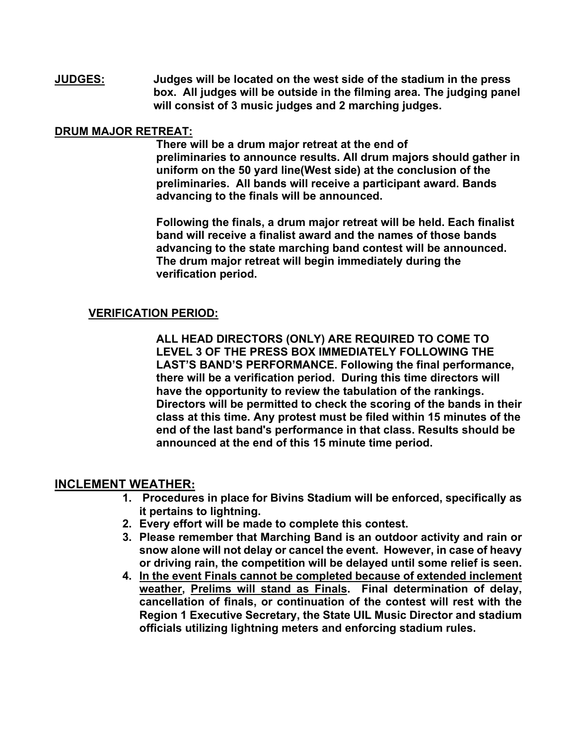**JUDGES: Judges will be located on the west side of the stadium in the press box. All judges will be outside in the filming area. The judging panel will consist of 3 music judges and 2 marching judges.**

## **DRUM MAJOR RETREAT:**

**There will be a drum major retreat at the end of preliminaries to announce results. All drum majors should gather in uniform on the 50 yard line(West side) at the conclusion of the preliminaries. All bands will receive a participant award. Bands advancing to the finals will be announced.** 

**Following the finals, a drum major retreat will be held. Each finalist band will receive a finalist award and the names of those bands advancing to the state marching band contest will be announced. The drum major retreat will begin immediately during the verification period.**

## **VERIFICATION PERIOD:**

**ALL HEAD DIRECTORS (ONLY) ARE REQUIRED TO COME TO LEVEL 3 OF THE PRESS BOX IMMEDIATELY FOLLOWING THE LAST'S BAND'S PERFORMANCE. Following the final performance, there will be a verification period. During this time directors will have the opportunity to review the tabulation of the rankings. Directors will be permitted to check the scoring of the bands in their class at this time. Any protest must be filed within 15 minutes of the end of the last band's performance in that class. Results should be announced at the end of this 15 minute time period.**

## **INCLEMENT WEATHER:**

- **1. Procedures in place for Bivins Stadium will be enforced, specifically as it pertains to lightning.**
- **2. Every effort will be made to complete this contest.**
- **3. Please remember that Marching Band is an outdoor activity and rain or snow alone will not delay or cancel the event. However, in case of heavy or driving rain, the competition will be delayed until some relief is seen.**
- **4. In the event Finals cannot be completed because of extended inclement weather, Prelims will stand as Finals. Final determination of delay, cancellation of finals, or continuation of the contest will rest with the Region 1 Executive Secretary, the State UIL Music Director and stadium officials utilizing lightning meters and enforcing stadium rules.**